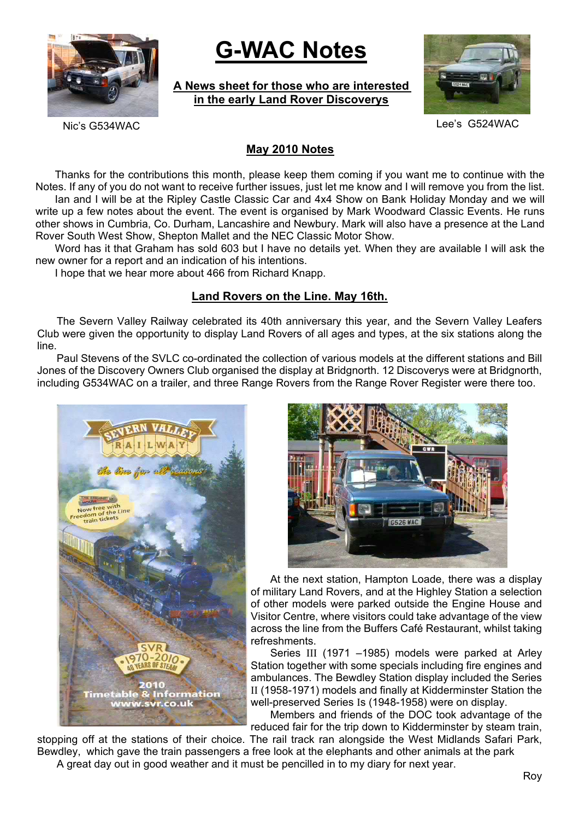

# **G-WAC Notes**

**A News sheet for those who are interested in the early Land Rover Discoverys**



Nic's G534WAC Lee's G524WAC

# **May 2010 Notes**

Thanks for the contributions this month, please keep them coming if you want me to continue with the Notes. If any of you do not want to receive further issues, just let me know and I will remove you from the list. Ian and I will be at the Ripley Castle Classic Car and 4x4 Show on Bank Holiday Monday and we will write up a few notes about the event. The event is organised by Mark Woodward Classic Events. He runs other shows in Cumbria, Co. Durham, Lancashire and Newbury. Mark will also have a presence at the Land Rover South West Show, Shepton Mallet and the NEC Classic Motor Show.

Word has it that Graham has sold 603 but I have no details yet. When they are available I will ask the new owner for a report and an indication of his intentions.

I hope that we hear more about 466 from Richard Knapp.

## **Land Rovers on the Line. May 16th.**

The Severn Valley Railway celebrated its 40th anniversary this year, and the Severn Valley Leafers Club were given the opportunity to display Land Rovers of all ages and types, at the six stations along the line.

Paul Stevens of the SVLC co-ordinated the collection of various models at the different stations and Bill Jones of the Discovery Owners Club organised the display at Bridgnorth. 12 Discoverys were at Bridgnorth, including G534WAC on a trailer, and three Range Rovers from the Range Rover Register were there too.





At the next station, Hampton Loade, there was a display of military Land Rovers, and at the Highley Station a selection of other models were parked outside the Engine House and Visitor Centre, where visitors could take advantage of the view across the line from the Buffers Café Restaurant, whilst taking refreshments.

Series III (1971 –1985) models were parked at Arley Station together with some specials including fire engines and ambulances. The Bewdley Station display included the Series II (1958-1971) models and finally at Kidderminster Station the well-preserved Series Is (1948-1958) were on display.

Members and friends of the DOC took advantage of the reduced fair for the trip down to Kidderminster by steam train,

stopping off at the stations of their choice. The rail track ran alongside the West Midlands Safari Park, Bewdley, which gave the train passengers a free look at the elephants and other animals at the park A great day out in good weather and it must be pencilled in to my diary for next year.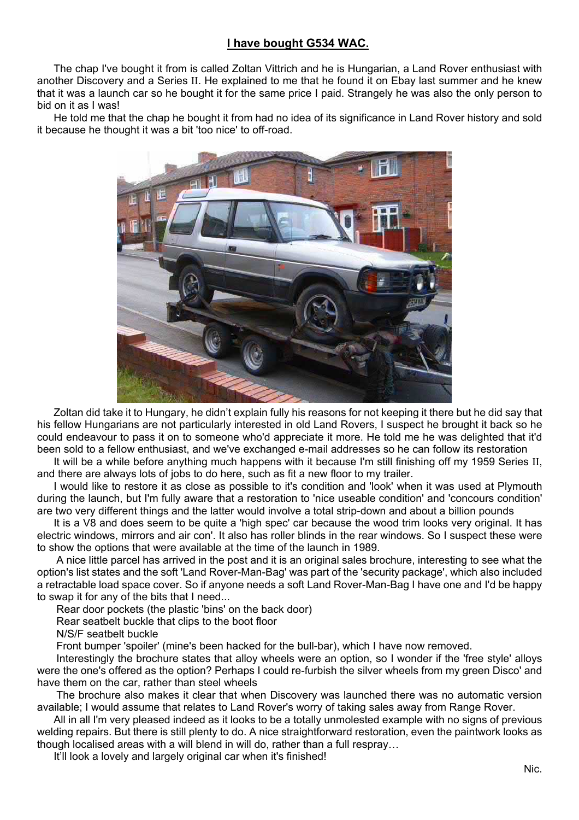# **I have bought G534 WAC.**

The chap I've bought it from is called Zoltan Vittrich and he is Hungarian, a Land Rover enthusiast with another Discovery and a Series II. He explained to me that he found it on Ebay last summer and he knew that it was a launch car so he bought it for the same price I paid. Strangely he was also the only person to bid on it as I was!

He told me that the chap he bought it from had no idea of its significance in Land Rover history and sold it because he thought it was a bit 'too nice' to off-road.



Zoltan did take it to Hungary, he didn't explain fully his reasons for not keeping it there but he did say that his fellow Hungarians are not particularly interested in old Land Rovers, I suspect he brought it back so he could endeavour to pass it on to someone who'd appreciate it more. He told me he was delighted that it'd been sold to a fellow enthusiast, and we've exchanged e-mail addresses so he can follow its restoration

It will be a while before anything much happens with it because I'm still finishing off my 1959 Series II, and there are always lots of jobs to do here, such as fit a new floor to my trailer.

I would like to restore it as close as possible to it's condition and 'look' when it was used at Plymouth during the launch, but I'm fully aware that a restoration to 'nice useable condition' and 'concours condition' are two very different things and the latter would involve a total strip-down and about a billion pounds

It is a V8 and does seem to be quite a 'high spec' car because the wood trim looks very original. It has electric windows, mirrors and air con'. It also has roller blinds in the rear windows. So I suspect these were to show the options that were available at the time of the launch in 1989.

A nice little parcel has arrived in the post and it is an original sales brochure, interesting to see what the option's list states and the soft 'Land Rover-Man-Bag' was part of the 'security package', which also included a retractable load space cover. So if anyone needs a soft Land Rover-Man-Bag I have one and I'd be happy to swap it for any of the bits that I need...

Rear door pockets (the plastic 'bins' on the back door)

Rear seatbelt buckle that clips to the boot floor

N/S/F seatbelt buckle

Front bumper 'spoiler' (mine's been hacked for the bull-bar), which I have now removed.

Interestingly the brochure states that alloy wheels were an option, so I wonder if the 'free style' alloys were the one's offered as the option? Perhaps I could re-furbish the silver wheels from my green Disco' and have them on the car, rather than steel wheels

The brochure also makes it clear that when Discovery was launched there was no automatic version available; I would assume that relates to Land Rover's worry of taking sales away from Range Rover.

All in all I'm very pleased indeed as it looks to be a totally unmolested example with no signs of previous welding repairs. But there is still plenty to do. A nice straightforward restoration, even the paintwork looks as though localised areas with a will blend in will do, rather than a full respray…

It'll look a lovely and largely original car when it's finished!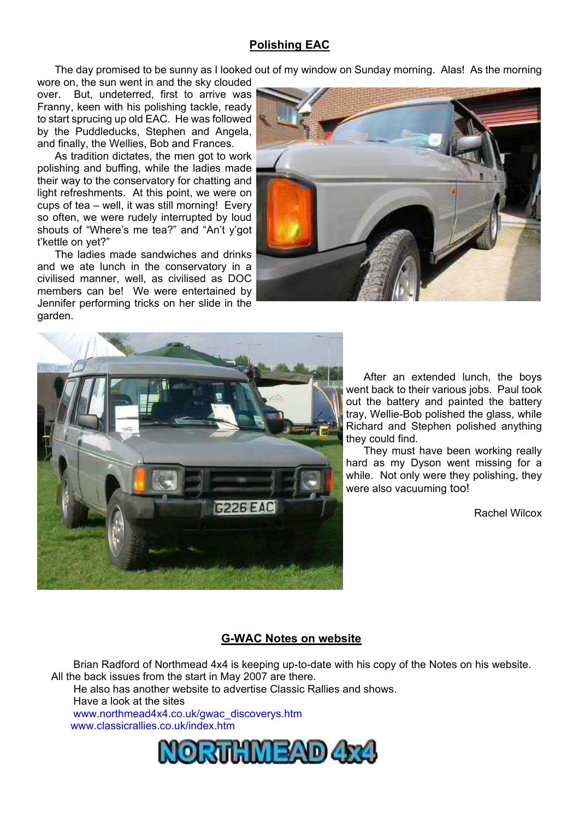## **Polishing EAC**

The day promised to be sunny as I looked out of my window on Sunday morning. Alas! As the morning

wore on, the sun went in and the sky clouded over. But, undeterred, first to arrive was Franny, keen with his polishing tackle, ready to start sprucing up old EAC. He was followed by the Puddleducks, Stephen and Angela, and finally, the Wellies, Bob and Frances.

As tradition dictates, the men got to work polishing and buffing, while the ladies made their way to the conservatory for chatting and light refreshments. At this point, we were on cups of tea – well, it was still morning! Every so often, we were rudely interrupted by loud shouts of "Where's me tea?" and "An't y'got t'kettle on yet?"

The ladies made sandwiches and drinks and we ate lunch in the conservatory in a civilised manner, well, as civilised as DOC members can be! We were entertained by Jennifer performing tricks on her slide in the garden.





After an extended lunch, the boys went back to their various jobs. Paul took out the battery and painted the battery tray, Wellie-Bob polished the glass, while Richard and Stephen polished anything they could find.

They must have been working really hard as my Dyson went missing for a while. Not only were they polishing, they were also vacuuming too!

Rachel Wilcox

#### **G-WAC Notes on website**

Brian Radford of Northmead 4x4 is keeping up-to-date with his copy of the Notes on his website. All the back issues from the start in May 2007 are there.

He also has another website to advertise Classic Rallies and shows.

Have a look at the sites

www.northmead4x4.co.uk/gwac\_discoverys.htm www.classicrallies.co.uk/index.htm

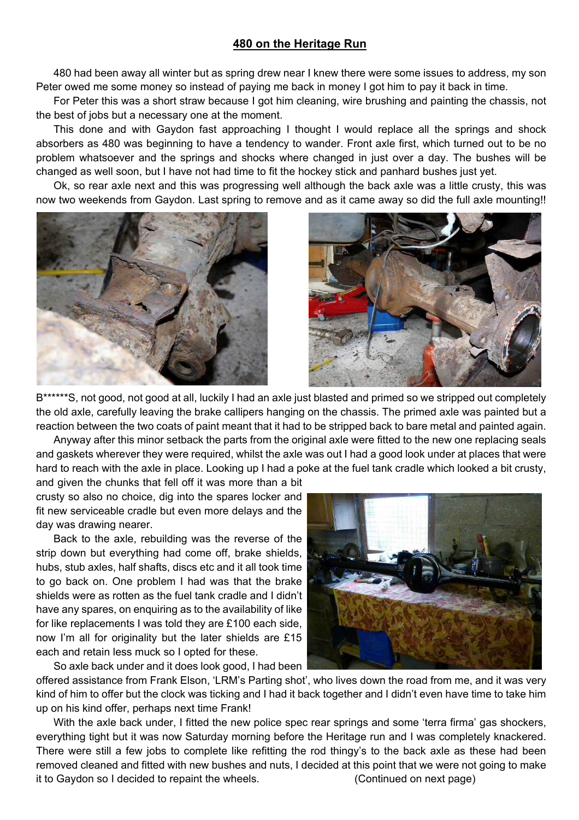#### **480 on the Heritage Run**

480 had been away all winter but as spring drew near I knew there were some issues to address, my son Peter owed me some money so instead of paying me back in money I got him to pay it back in time.

For Peter this was a short straw because I got him cleaning, wire brushing and painting the chassis, not the best of jobs but a necessary one at the moment.

This done and with Gaydon fast approaching I thought I would replace all the springs and shock absorbers as 480 was beginning to have a tendency to wander. Front axle first, which turned out to be no problem whatsoever and the springs and shocks where changed in just over a day. The bushes will be changed as well soon, but I have not had time to fit the hockey stick and panhard bushes just yet.

Ok, so rear axle next and this was progressing well although the back axle was a little crusty, this was now two weekends from Gaydon. Last spring to remove and as it came away so did the full axle mounting!!





B\*\*\*\*\*\*S, not good, not good at all, luckily I had an axle just blasted and primed so we stripped out completely the old axle, carefully leaving the brake callipers hanging on the chassis. The primed axle was painted but a reaction between the two coats of paint meant that it had to be stripped back to bare metal and painted again.

Anyway after this minor setback the parts from the original axle were fitted to the new one replacing seals and gaskets wherever they were required, whilst the axle was out I had a good look under at places that were hard to reach with the axle in place. Looking up I had a poke at the fuel tank cradle which looked a bit crusty,

and given the chunks that fell off it was more than a bit crusty so also no choice, dig into the spares locker and fit new serviceable cradle but even more delays and the day was drawing nearer.

Back to the axle, rebuilding was the reverse of the strip down but everything had come off, brake shields, hubs, stub axles, half shafts, discs etc and it all took time to go back on. One problem I had was that the brake shields were as rotten as the fuel tank cradle and I didn't have any spares, on enquiring as to the availability of like for like replacements I was told they are £100 each side, now I'm all for originality but the later shields are £15 each and retain less muck so I opted for these.



offered assistance from Frank Elson, 'LRM's Parting shot', who lives down the road from me, and it was very kind of him to offer but the clock was ticking and I had it back together and I didn't even have time to take him up on his kind offer, perhaps next time Frank!

With the axle back under, I fitted the new police spec rear springs and some 'terra firma' gas shockers, everything tight but it was now Saturday morning before the Heritage run and I was completely knackered. There were still a few jobs to complete like refitting the rod thingy's to the back axle as these had been removed cleaned and fitted with new bushes and nuts, I decided at this point that we were not going to make it to Gaydon so I decided to repaint the wheels. (Continued on next page)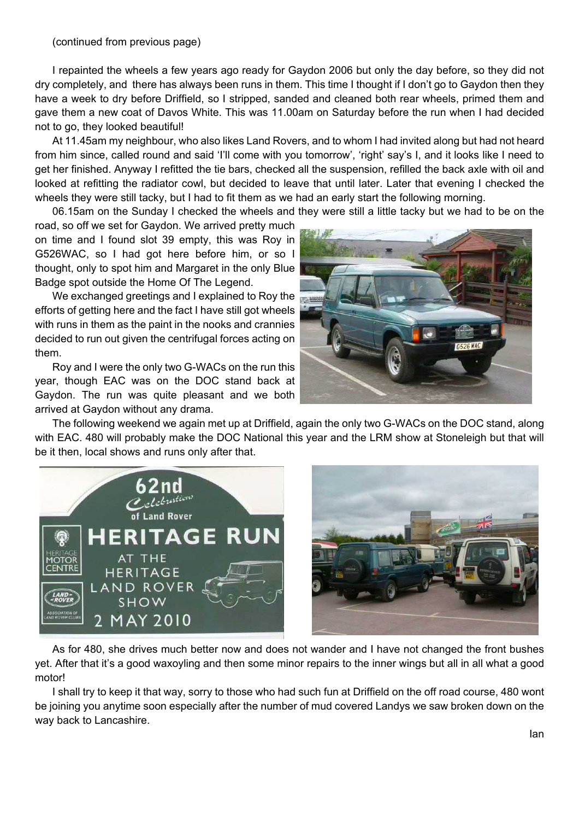I repainted the wheels a few years ago ready for Gaydon 2006 but only the day before, so they did not dry completely, and there has always been runs in them. This time I thought if I don't go to Gaydon then they have a week to dry before Driffield, so I stripped, sanded and cleaned both rear wheels, primed them and gave them a new coat of Davos White. This was 11.00am on Saturday before the run when I had decided not to go, they looked beautiful!

At 11.45am my neighbour, who also likes Land Rovers, and to whom I had invited along but had not heard from him since, called round and said 'I'll come with you tomorrow', 'right' say's I, and it looks like I need to get her finished. Anyway I refitted the tie bars, checked all the suspension, refilled the back axle with oil and looked at refitting the radiator cowl, but decided to leave that until later. Later that evening I checked the wheels they were still tacky, but I had to fit them as we had an early start the following morning.

06.15am on the Sunday I checked the wheels and they were still a little tacky but we had to be on the

road, so off we set for Gaydon. We arrived pretty much on time and I found slot 39 empty, this was Roy in G526WAC, so I had got here before him, or so I thought, only to spot him and Margaret in the only Blue Badge spot outside the Home Of The Legend.

We exchanged greetings and I explained to Roy the efforts of getting here and the fact I have still got wheels with runs in them as the paint in the nooks and crannies decided to run out given the centrifugal forces acting on them.

Roy and I were the only two G-WACs on the run this year, though EAC was on the DOC stand back at Gaydon. The run was quite pleasant and we both arrived at Gaydon without any drama.



The following weekend we again met up at Driffield, again the only two G-WACs on the DOC stand, along with EAC. 480 will probably make the DOC National this year and the LRM show at Stoneleigh but that will be it then, local shows and runs only after that.





As for 480, she drives much better now and does not wander and I have not changed the front bushes yet. After that it's a good waxoyling and then some minor repairs to the inner wings but all in all what a good motor!

I shall try to keep it that way, sorry to those who had such fun at Driffield on the off road course, 480 wont be joining you anytime soon especially after the number of mud covered Landys we saw broken down on the way back to Lancashire.